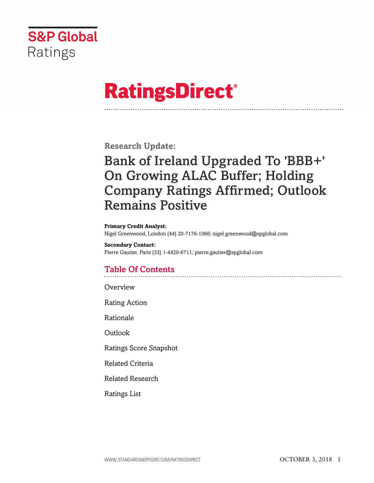

# **RatingsDirect®**

**Research Update:**

# Bank of Ireland Upgraded To 'BBB+' On Growing ALAC Buffer; Holding Company Ratings Affirmed; Outlook Remains Positive

#### **Primary Credit Analyst:**

Nigel Greenwood, London (44) 20-7176-1066; nigel.greenwood@spglobal.com

**Secondary Contact:** Pierre Gautier, Paris (33) 1-4420-6711; pierre.gautier@spglobal.com

## Table Of Contents

[Overview](#page-1-0)

[Rating Action](#page-1-1)

[Rationale](#page-1-2)

[Outlook](#page-2-0)

[Ratings Score Snapshot](#page-3-0)

[Related Criteria](#page-3-1)

[Related Research](#page-4-0)

[Ratings List](#page-4-1)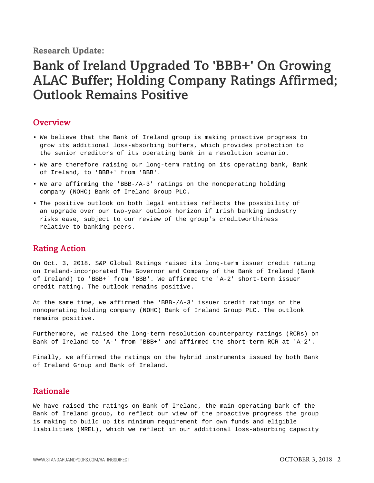**Research Update:**

# Bank of Ireland Upgraded To 'BBB+' On Growing ALAC Buffer; Holding Company Ratings Affirmed; Outlook Remains Positive

#### <span id="page-1-0"></span>**Overview**

- We believe that the Bank of Ireland group is making proactive progress to grow its additional loss-absorbing buffers, which provides protection to the senior creditors of its operating bank in a resolution scenario.
- We are therefore raising our long-term rating on its operating bank, Bank of Ireland, to 'BBB+' from 'BBB'.
- We are affirming the 'BBB-/A-3' ratings on the nonoperating holding company (NOHC) Bank of Ireland Group PLC.
- The positive outlook on both legal entities reflects the possibility of an upgrade over our two-year outlook horizon if Irish banking industry risks ease, subject to our review of the group's creditworthiness relative to banking peers.

#### <span id="page-1-1"></span>Rating Action

On Oct. 3, 2018, S&P Global Ratings raised its long-term issuer credit rating on Ireland-incorporated The Governor and Company of the Bank of Ireland (Bank of Ireland) to 'BBB+' from 'BBB'. We affirmed the 'A-2' short-term issuer credit rating. The outlook remains positive.

At the same time, we affirmed the 'BBB-/A-3' issuer credit ratings on the nonoperating holding company (NOHC) Bank of Ireland Group PLC. The outlook remains positive.

Furthermore, we raised the long-term resolution counterparty ratings (RCRs) on Bank of Ireland to 'A-' from 'BBB+' and affirmed the short-term RCR at 'A-2'.

Finally, we affirmed the ratings on the hybrid instruments issued by both Bank of Ireland Group and Bank of Ireland.

### <span id="page-1-2"></span>Rationale

We have raised the ratings on Bank of Ireland, the main operating bank of the Bank of Ireland group, to reflect our view of the proactive progress the group is making to build up its minimum requirement for own funds and eligible liabilities (MREL), which we reflect in our additional loss-absorbing capacity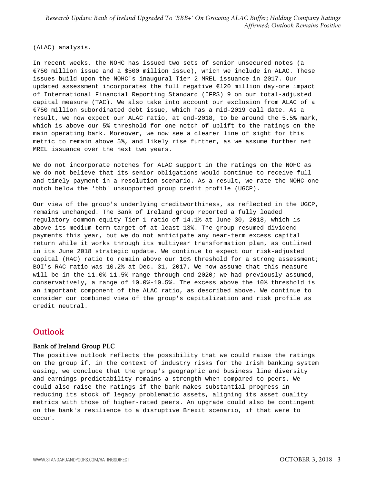(ALAC) analysis.

In recent weeks, the NOHC has issued two sets of senior unsecured notes (a €750 million issue and a \$500 million issue), which we include in ALAC. These issues build upon the NOHC's inaugural Tier 2 MREL issuance in 2017. Our updated assessment incorporates the full negative €120 million day-one impact of International Financial Reporting Standard (IFRS) 9 on our total-adjusted capital measure (TAC). We also take into account our exclusion from ALAC of a €750 million subordinated debt issue, which has a mid-2019 call date. As a result, we now expect our ALAC ratio, at end-2018, to be around the 5.5% mark, which is above our 5% threshold for one notch of uplift to the ratings on the main operating bank. Moreover, we now see a clearer line of sight for this metric to remain above 5%, and likely rise further, as we assume further net MREL issuance over the next two years.

We do not incorporate notches for ALAC support in the ratings on the NOHC as we do not believe that its senior obligations would continue to receive full and timely payment in a resolution scenario. As a result, we rate the NOHC one notch below the 'bbb' unsupported group credit profile (UGCP).

Our view of the group's underlying creditworthiness, as reflected in the UGCP, remains unchanged. The Bank of Ireland group reported a fully loaded regulatory common equity Tier 1 ratio of 14.1% at June 30, 2018, which is above its medium-term target of at least 13%. The group resumed dividend payments this year, but we do not anticipate any near-term excess capital return while it works through its multiyear transformation plan, as outlined in its June 2018 strategic update. We continue to expect our risk-adjusted capital (RAC) ratio to remain above our 10% threshold for a strong assessment; BOI's RAC ratio was 10.2% at Dec. 31, 2017. We now assume that this measure will be in the 11.0%-11.5% range through end-2020; we had previously assumed, conservatively, a range of 10.0%-10.5%. The excess above the 10% threshold is an important component of the ALAC ratio, as described above. We continue to consider our combined view of the group's capitalization and risk profile as credit neutral.

### <span id="page-2-0"></span>**Outlook**

#### Bank of Ireland Group PLC

The positive outlook reflects the possibility that we could raise the ratings on the group if, in the context of industry risks for the Irish banking system easing, we conclude that the group's geographic and business line diversity and earnings predictability remains a strength when compared to peers. We could also raise the ratings if the bank makes substantial progress in reducing its stock of legacy problematic assets, aligning its asset quality metrics with those of higher-rated peers. An upgrade could also be contingent on the bank's resilience to a disruptive Brexit scenario, if that were to occur.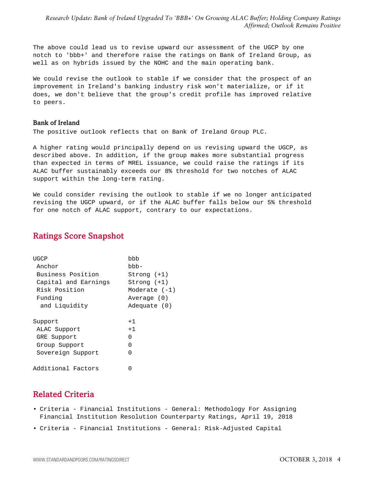The above could lead us to revise upward our assessment of the UGCP by one notch to 'bbb+' and therefore raise the ratings on Bank of Ireland Group, as well as on hybrids issued by the NOHC and the main operating bank.

We could revise the outlook to stable if we consider that the prospect of an improvement in Ireland's banking industry risk won't materialize, or if it does, we don't believe that the group's credit profile has improved relative to peers.

#### Bank of Ireland

The positive outlook reflects that on Bank of Ireland Group PLC.

A higher rating would principally depend on us revising upward the UGCP, as described above. In addition, if the group makes more substantial progress than expected in terms of MREL issuance, we could raise the ratings if its ALAC buffer sustainably exceeds our 8% threshold for two notches of ALAC support within the long-term rating.

We could consider revising the outlook to stable if we no longer anticipated revising the UGCP upward, or if the ALAC buffer falls below our 5% threshold for one notch of ALAC support, contrary to our expectations.

### <span id="page-3-0"></span>Ratings Score Snapshot

| UGCP                 | hhh           |  |
|----------------------|---------------|--|
| Anchor               | bbb-          |  |
| Business Position    | Strong (+1)   |  |
| Capital and Earnings | Strong (+1)   |  |
| Risk Position        | Moderate (-1) |  |
| Funding              | Average (0)   |  |
| and Liquidity        | Adequate (0)  |  |
| Support              | $+1$          |  |
| ALAC Support         | $+1$          |  |
| GRE Support          | U             |  |
| Group Support        | U             |  |
| Sovereign Support    | U             |  |
| Additional Factors   |               |  |

### <span id="page-3-1"></span>Related Criteria

- Criteria Financial Institutions General: Methodology For Assigning Financial Institution Resolution Counterparty Ratings, April 19, 2018
- Criteria Financial Institutions General: Risk-Adjusted Capital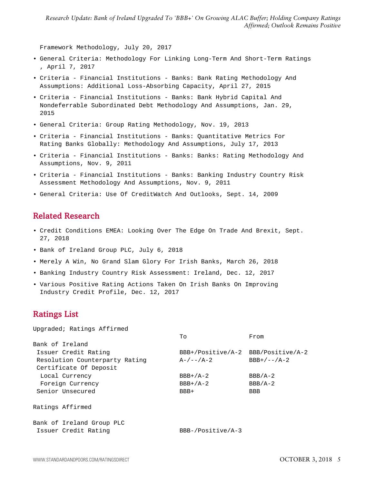Framework Methodology, July 20, 2017

- General Criteria: Methodology For Linking Long-Term And Short-Term Ratings , April 7, 2017
- Criteria Financial Institutions Banks: Bank Rating Methodology And Assumptions: Additional Loss-Absorbing Capacity, April 27, 2015
- Criteria Financial Institutions Banks: Bank Hybrid Capital And Nondeferrable Subordinated Debt Methodology And Assumptions, Jan. 29, 2015
- General Criteria: Group Rating Methodology, Nov. 19, 2013
- Criteria Financial Institutions Banks: Quantitative Metrics For Rating Banks Globally: Methodology And Assumptions, July 17, 2013
- Criteria Financial Institutions Banks: Banks: Rating Methodology And Assumptions, Nov. 9, 2011
- Criteria Financial Institutions Banks: Banking Industry Country Risk Assessment Methodology And Assumptions, Nov. 9, 2011
- <span id="page-4-0"></span>• General Criteria: Use Of CreditWatch And Outlooks, Sept. 14, 2009

#### Related Research

- Credit Conditions EMEA: Looking Over The Edge On Trade And Brexit, Sept. 27, 2018
- Bank of Ireland Group PLC, July 6, 2018
- Merely A Win, No Grand Slam Glory For Irish Banks, March 26, 2018
- Banking Industry Country Risk Assessment: Ireland, Dec. 12, 2017
- Various Positive Rating Actions Taken On Irish Banks On Improving Industry Credit Profile, Dec. 12, 2017

#### <span id="page-4-1"></span>Ratings List

Upgraded; Ratings Affirmed

|                                | To                                 | From          |
|--------------------------------|------------------------------------|---------------|
| Bank of Ireland                |                                    |               |
| Issuer Credit Rating           | BBB+/Positive/A-2 BBB/Positive/A-2 |               |
| Resolution Counterparty Rating | $A-/--/A-2$                        | $BBB+/--/A-2$ |
| Certificate Of Deposit         |                                    |               |
| Local Currency                 | $BBB+/A-2$                         | $BBB/A-2$     |
| Foreign Currency               | $BBB+/A-2$                         | $BBB/A-2$     |
| Senior Unsecured               | BBB+                               | <b>BBB</b>    |
| Ratings Affirmed               |                                    |               |
| Bank of Ireland Group PLC      |                                    |               |
| Issuer Credit Rating           | $BBB-/Positive/A-3$                |               |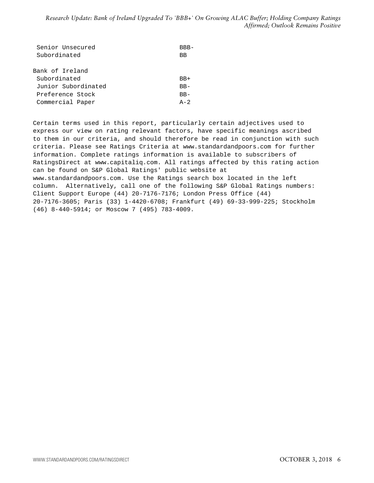| Senior Unsecured    | BBB-         |
|---------------------|--------------|
| Subordinated        | ВB           |
|                     |              |
| Bank of Ireland     |              |
| Subordinated        | $BB+$        |
| Junior Subordinated | $BB -$       |
| Preference Stock    | $BB -$       |
| Commercial Paper    | $\Delta - 2$ |

Certain terms used in this report, particularly certain adjectives used to express our view on rating relevant factors, have specific meanings ascribed to them in our criteria, and should therefore be read in conjunction with such criteria. Please see Ratings Criteria at www.standardandpoors.com for further information. Complete ratings information is available to subscribers of RatingsDirect at www.capitaliq.com. All ratings affected by this rating action can be found on S&P Global Ratings' public website at www.standardandpoors.com. Use the Ratings search box located in the left column. Alternatively, call one of the following S&P Global Ratings numbers: Client Support Europe (44) 20-7176-7176; London Press Office (44) 20-7176-3605; Paris (33) 1-4420-6708; Frankfurt (49) 69-33-999-225; Stockholm (46) 8-440-5914; or Moscow 7 (495) 783-4009.